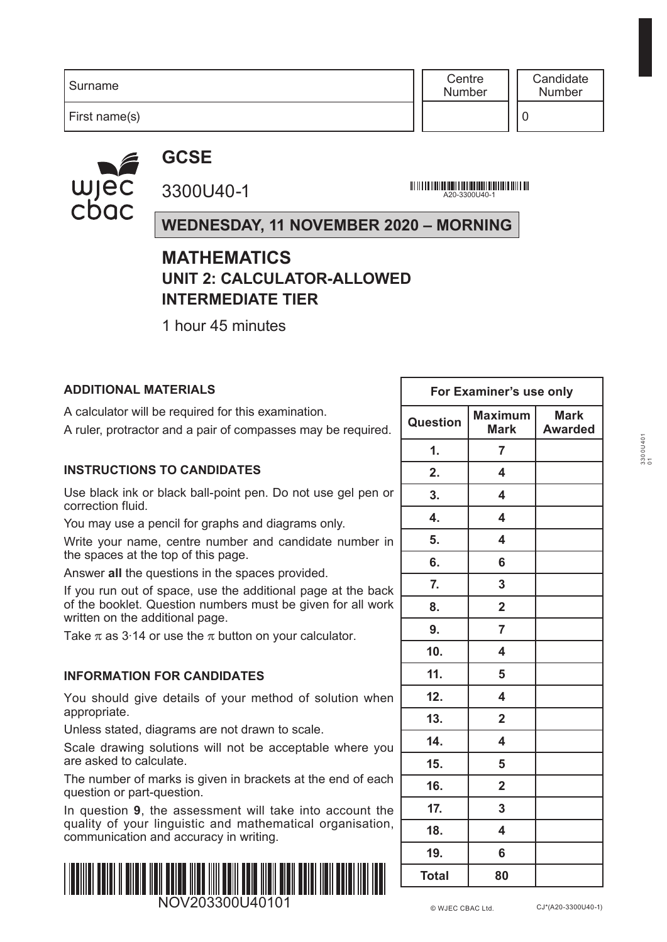**Centre** Number

First name(s)

wjec cbac

**GCSE** 3300U40-1

A20-3300U40-1

# **WEDNESDAY, 11 NOVEMBER 2020 – MORNING**

# **MATHEMATICS UNIT 2: CALCULATOR-ALLOWED INTERMEDIATE TIER**

1 hour 45 minutes

## **ADDITIONAL MATERIALS**

A calculator will be required for this examination.

A ruler, protractor and a pair of compasses may be required.

#### **INSTRUCTIONS TO CANDIDATES**

Use black ink or black ball-point pen. Do not use gel pen or correction fluid.

You may use a pencil for graphs and diagrams only.

Write your name, centre number and candidate number in the spaces at the top of this page.

Answer **all** the questions in the spaces provided.

If you run out of space, use the additional page at the back of the booklet. Question numbers must be given for all work written on the additional page.

Take  $\pi$  as 3.14 or use the  $\pi$  button on your calculator.

#### **INFORMATION FOR CANDIDATES**

You should give details of your method of solution when appropriate.

Unless stated, diagrams are not drawn to scale.

Scale drawing solutions will not be acceptable where you are asked to calculate.

The number of marks is given in brackets at the end of each question or part-question.

In question **9**, the assessment will take into account the quality of your linguistic and mathematical organisation, communication and accuracy in writing.



| For Examiner's use only |                               |                               |  |  |  |  |  |
|-------------------------|-------------------------------|-------------------------------|--|--|--|--|--|
| <b>Question</b>         | <b>Maximum</b><br><b>Mark</b> | <b>Mark</b><br><b>Awarded</b> |  |  |  |  |  |
| 1.                      | $\overline{7}$                |                               |  |  |  |  |  |
| 2.                      | 4                             |                               |  |  |  |  |  |
| 3.                      | 4                             |                               |  |  |  |  |  |
| 4.                      | $\overline{\mathbf{4}}$       |                               |  |  |  |  |  |
| 5.                      | 4                             |                               |  |  |  |  |  |
| 6.                      | 6                             |                               |  |  |  |  |  |
| 7.                      | 3                             |                               |  |  |  |  |  |
| 8.                      | $\overline{\mathbf{2}}$       |                               |  |  |  |  |  |
| 9.                      | $\overline{7}$                |                               |  |  |  |  |  |
| 10.                     | $\overline{\mathbf{4}}$       |                               |  |  |  |  |  |
| 11.                     | 5                             |                               |  |  |  |  |  |
| 12.                     | $\overline{\mathbf{4}}$       |                               |  |  |  |  |  |
| 13.                     | $\overline{\mathbf{2}}$       |                               |  |  |  |  |  |
| 14.                     | 4                             |                               |  |  |  |  |  |
| 15.                     | 5                             |                               |  |  |  |  |  |
| 16.                     | $\overline{2}$                |                               |  |  |  |  |  |
| 17.                     | 3                             |                               |  |  |  |  |  |
| 18.                     | 4                             |                               |  |  |  |  |  |
| 19.                     | 6                             |                               |  |  |  |  |  |
| <b>Total</b>            | 80                            |                               |  |  |  |  |  |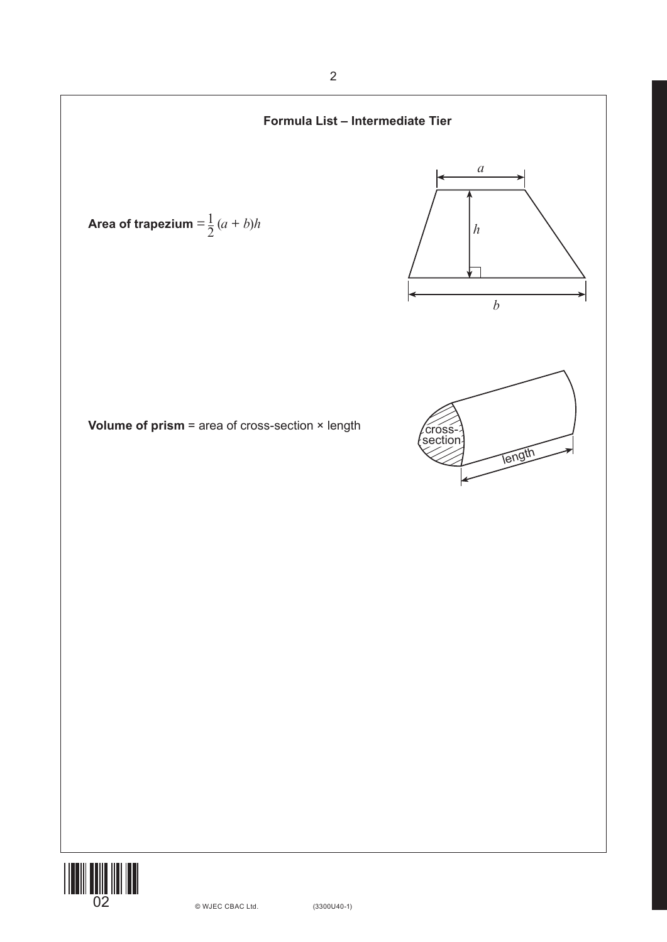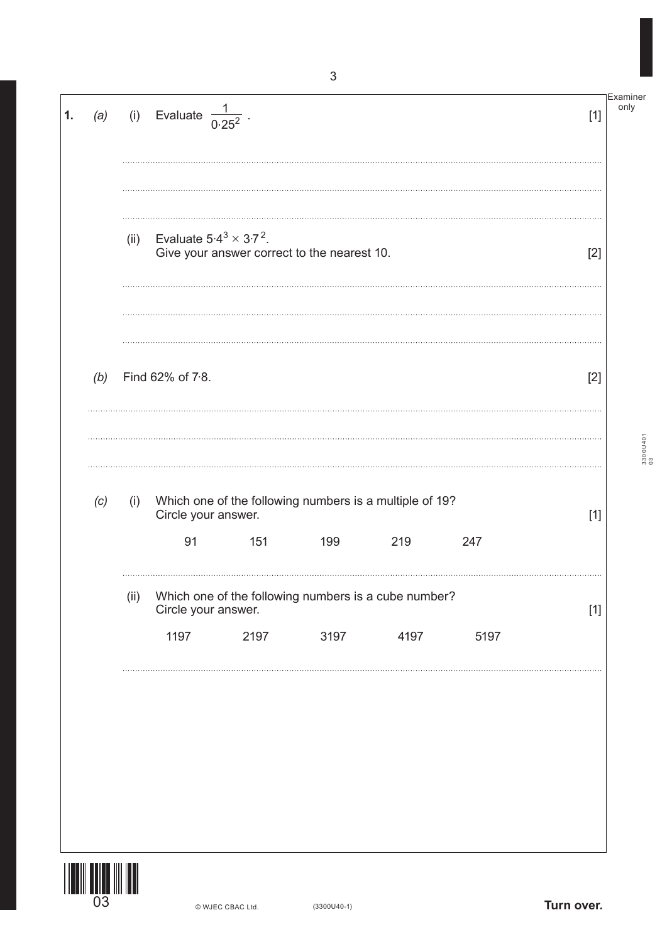| 1. | (a) |      | (i) Evaluate $\frac{1}{0.25^2}$ |      |                                                                |      |      | $[1]$ | Examiner<br>only |
|----|-----|------|---------------------------------|------|----------------------------------------------------------------|------|------|-------|------------------|
|    |     | (ii) | Evaluate $5.4^3 \times 3.7^2$ . |      | Give your answer correct to the nearest 10.                    |      |      | $[2]$ |                  |
|    | (b) |      | Find 62% of 7.8.                |      |                                                                |      |      | $[2]$ |                  |
|    | (c) | (i)  | Circle your answer.<br>91       | 151  | Which one of the following numbers is a multiple of 19?<br>199 | 219  | 247  | $[1]$ | 33000401         |
|    |     | (ii) | Circle your answer.<br>1197     | 2197 | Which one of the following numbers is a cube number?<br>3197   | 4197 | 5197 | $[1]$ |                  |
|    |     |      |                                 |      |                                                                |      |      |       |                  |
|    |     |      |                                 |      |                                                                |      |      |       |                  |

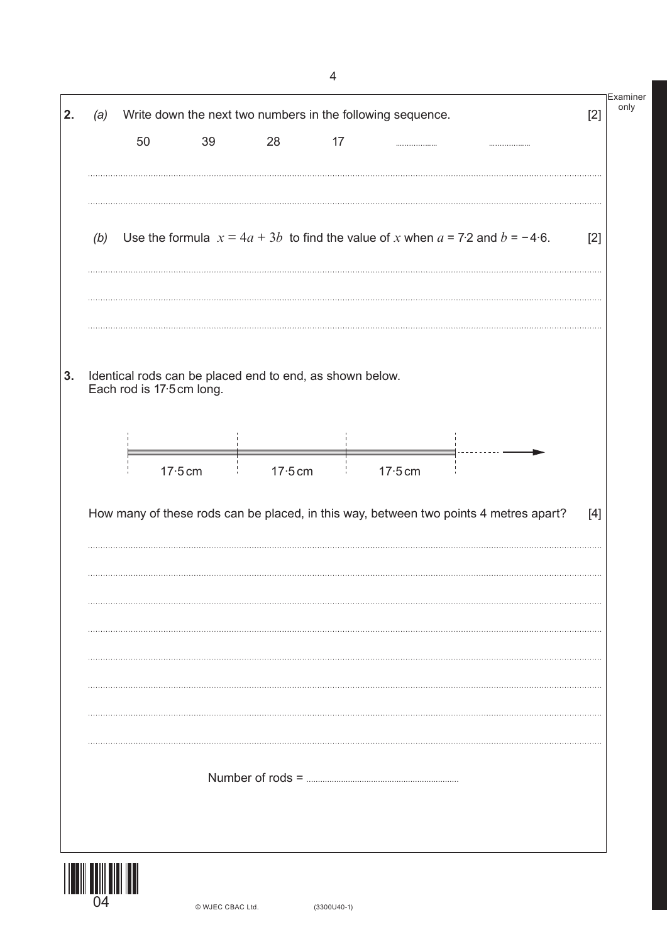|     |    |                                                          |           |    | Write down the next two numbers in the following sequence. |                                                                                       | $[2]$ |
|-----|----|----------------------------------------------------------|-----------|----|------------------------------------------------------------|---------------------------------------------------------------------------------------|-------|
|     | 50 | 39                                                       | 28        | 17 |                                                            |                                                                                       |       |
|     |    |                                                          |           |    |                                                            |                                                                                       |       |
| (b) |    |                                                          |           |    |                                                            | Use the formula $x = 4a + 3b$ to find the value of x when $a = 7.2$ and $b = -4.6$ .  | $[2]$ |
|     |    |                                                          |           |    |                                                            |                                                                                       |       |
|     |    | Identical rods can be placed end to end, as shown below. |           |    |                                                            |                                                                                       |       |
|     |    | Each rod is 17.5 cm long.                                |           |    |                                                            |                                                                                       |       |
|     |    |                                                          |           |    |                                                            |                                                                                       |       |
|     |    | $17.5$ cm                                                | $17.5$ cm |    | $17.5$ cm                                                  |                                                                                       |       |
|     |    |                                                          |           |    |                                                            |                                                                                       |       |
|     |    |                                                          |           |    |                                                            |                                                                                       |       |
|     |    |                                                          |           |    |                                                            | How many of these rods can be placed, in this way, between two points 4 metres apart? | $[4]$ |
|     |    |                                                          |           |    |                                                            |                                                                                       |       |
|     |    |                                                          |           |    |                                                            |                                                                                       |       |
|     |    |                                                          |           |    |                                                            |                                                                                       |       |
|     |    |                                                          |           |    |                                                            |                                                                                       |       |
|     |    |                                                          |           |    |                                                            |                                                                                       |       |
|     |    |                                                          |           |    |                                                            |                                                                                       |       |
|     |    |                                                          |           |    |                                                            |                                                                                       |       |
|     |    |                                                          |           |    |                                                            |                                                                                       |       |
|     |    |                                                          |           |    |                                                            |                                                                                       |       |
|     |    |                                                          |           |    |                                                            |                                                                                       |       |

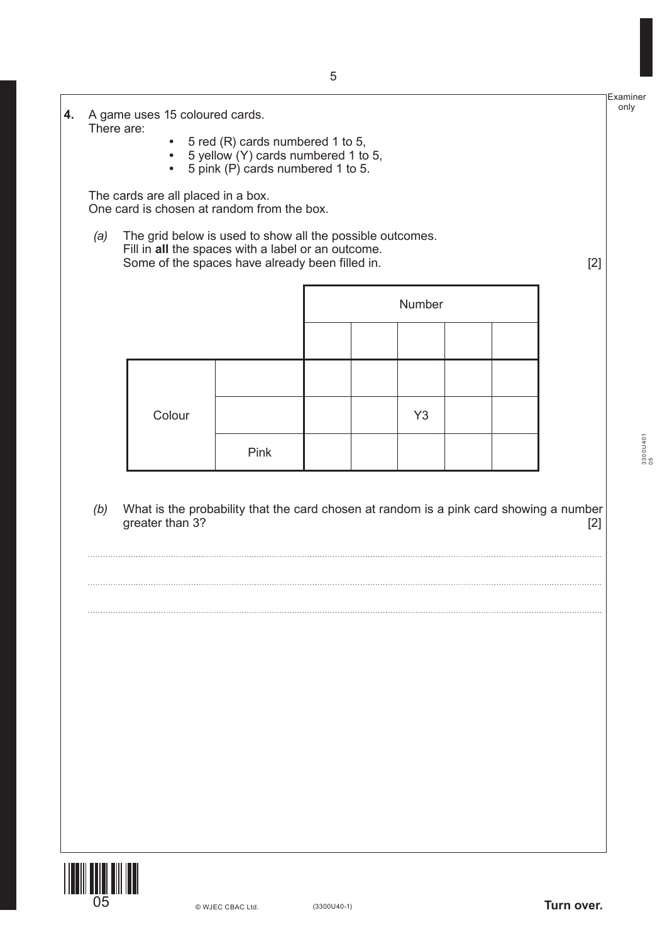| 4. | There are: | A game uses 15 coloured cards. |                                                                                                                                                                    |  |                |  |       |
|----|------------|--------------------------------|--------------------------------------------------------------------------------------------------------------------------------------------------------------------|--|----------------|--|-------|
|    |            | $\bullet$<br>$\bullet$         | 5 red (R) cards numbered 1 to 5,<br>5 yellow (Y) cards numbered 1 to 5,<br>5 pink (P) cards numbered 1 to 5.                                                       |  |                |  |       |
|    |            |                                | The cards are all placed in a box.<br>One card is chosen at random from the box.                                                                                   |  |                |  |       |
|    | (a)        |                                | The grid below is used to show all the possible outcomes.<br>Fill in all the spaces with a label or an outcome.<br>Some of the spaces have already been filled in. |  |                |  | $[2]$ |
|    |            |                                |                                                                                                                                                                    |  | Number         |  |       |
|    |            |                                |                                                                                                                                                                    |  |                |  |       |
|    |            | Colour                         |                                                                                                                                                                    |  | Y <sub>3</sub> |  |       |
|    |            |                                | Pink                                                                                                                                                               |  |                |  |       |
|    | (b)        | greater than 3?                | What is the probability that the card chosen at random is a pink card showing a number                                                                             |  |                |  | $[2]$ |
|    |            |                                |                                                                                                                                                                    |  |                |  |       |
|    |            |                                |                                                                                                                                                                    |  |                |  |       |
|    |            |                                |                                                                                                                                                                    |  |                |  |       |
|    |            |                                |                                                                                                                                                                    |  |                |  |       |
|    |            |                                |                                                                                                                                                                    |  |                |  |       |



3300U401  $3300$ U401

Examiner only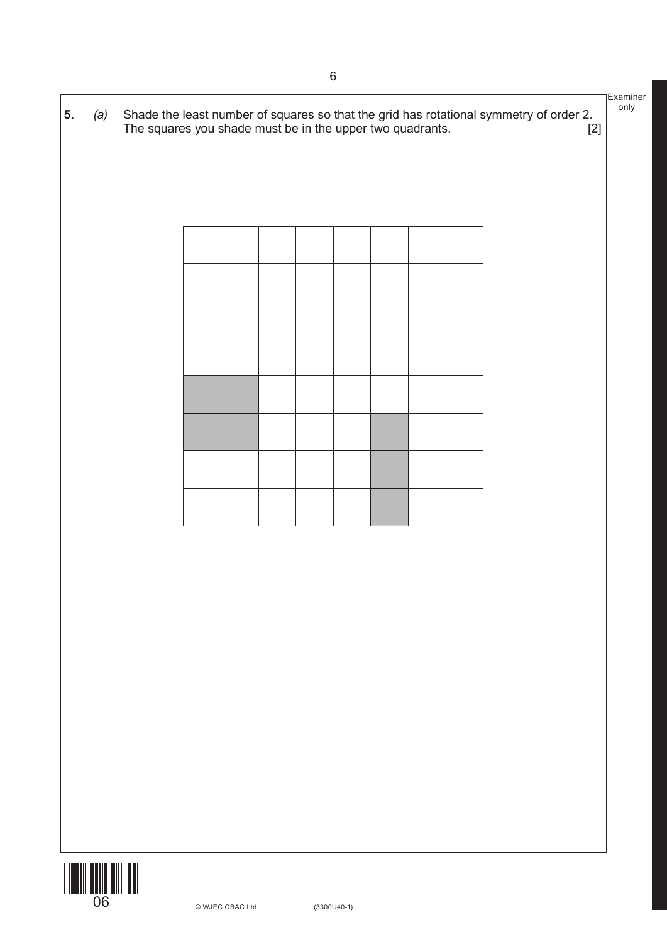

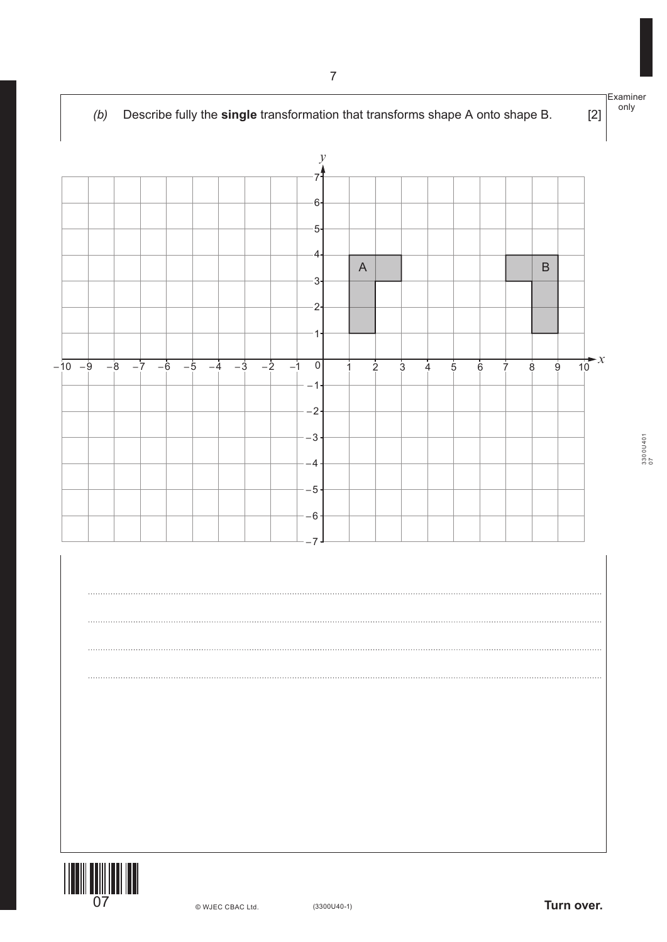



3300U401 3300U401<br>07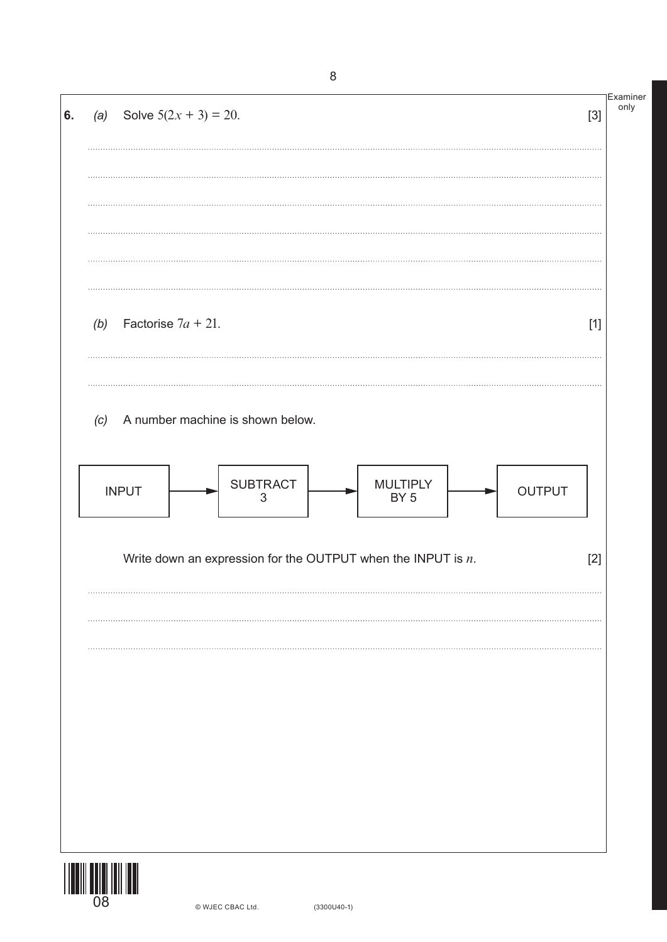| 6. |     | (a) Solve $5(2x + 3) = 20$ .                                                         | <b>Examiner</b><br>$[3]$ |
|----|-----|--------------------------------------------------------------------------------------|--------------------------|
|    |     |                                                                                      |                          |
|    |     |                                                                                      |                          |
|    |     |                                                                                      |                          |
|    | (b) | Factorise $7a + 21$ .                                                                | $[1]$                    |
|    | (c) | A number machine is shown below.                                                     |                          |
|    |     | <b>SUBTRACT</b><br><b>MULTIPLY</b><br><b>INPUT</b><br>OUTPUT<br>BY <sub>5</sub><br>3 |                          |
|    |     | Write down an expression for the OUTPUT when the INPUT is $n$ .                      | $[2]$                    |
|    |     |                                                                                      |                          |
|    |     |                                                                                      |                          |
|    |     |                                                                                      |                          |
|    |     |                                                                                      |                          |
|    |     |                                                                                      |                          |
|    |     |                                                                                      |                          |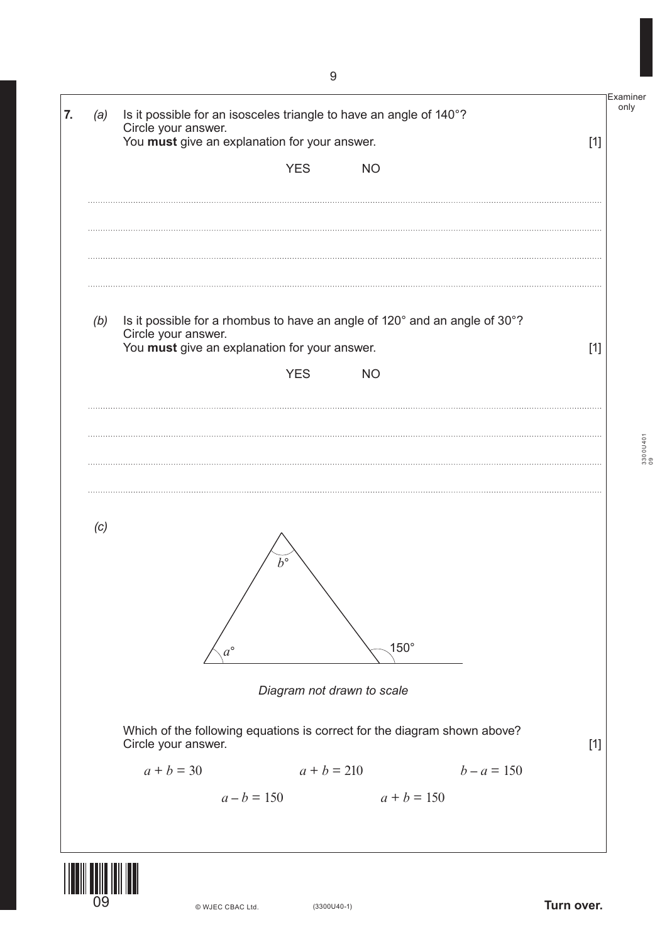| (a) | Is it possible for an isosceles triangle to have an angle of 140°?<br>Circle your answer.                                                          |       |
|-----|----------------------------------------------------------------------------------------------------------------------------------------------------|-------|
|     | You must give an explanation for your answer.                                                                                                      | $[1]$ |
|     | <b>YES</b><br><b>NO</b>                                                                                                                            |       |
|     |                                                                                                                                                    |       |
| (b) | Is it possible for a rhombus to have an angle of 120° and an angle of 30°?<br>Circle your answer.<br>You must give an explanation for your answer. | $[1]$ |
|     | <b>YES</b><br><b>NO</b>                                                                                                                            |       |
|     |                                                                                                                                                    |       |
|     |                                                                                                                                                    |       |
|     |                                                                                                                                                    |       |
|     |                                                                                                                                                    |       |
|     | $b^{\circ}$                                                                                                                                        |       |
| (c) | $150^\circ$<br>$a^{\circ}$                                                                                                                         |       |
|     | Diagram not drawn to scale                                                                                                                         |       |
|     | Which of the following equations is correct for the diagram shown above?<br>Circle your answer.                                                    | $[1]$ |
|     | $a + b = 30$<br>$a + b = 210$ $b - a = 150$                                                                                                        |       |

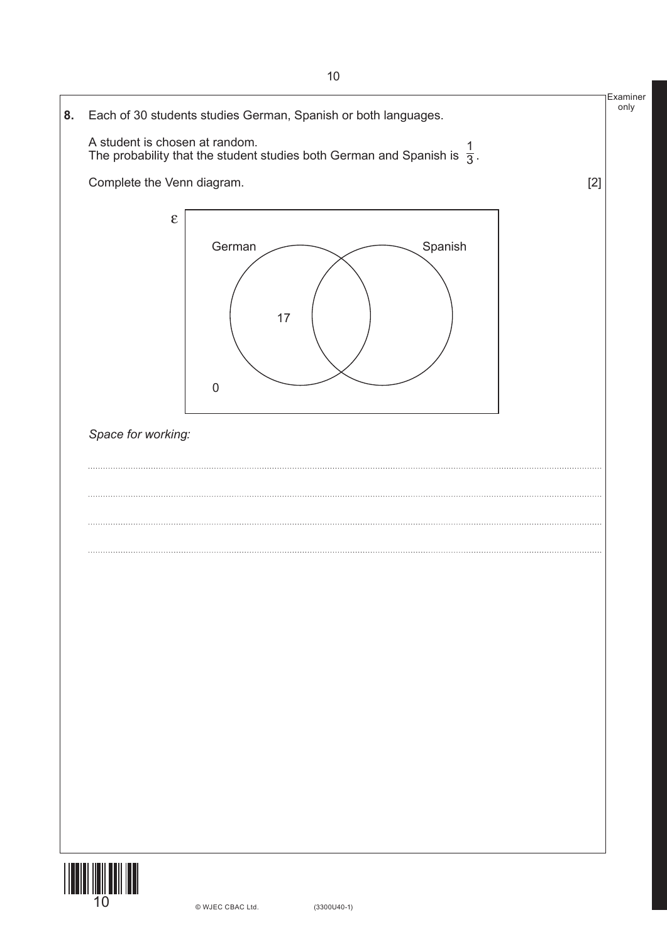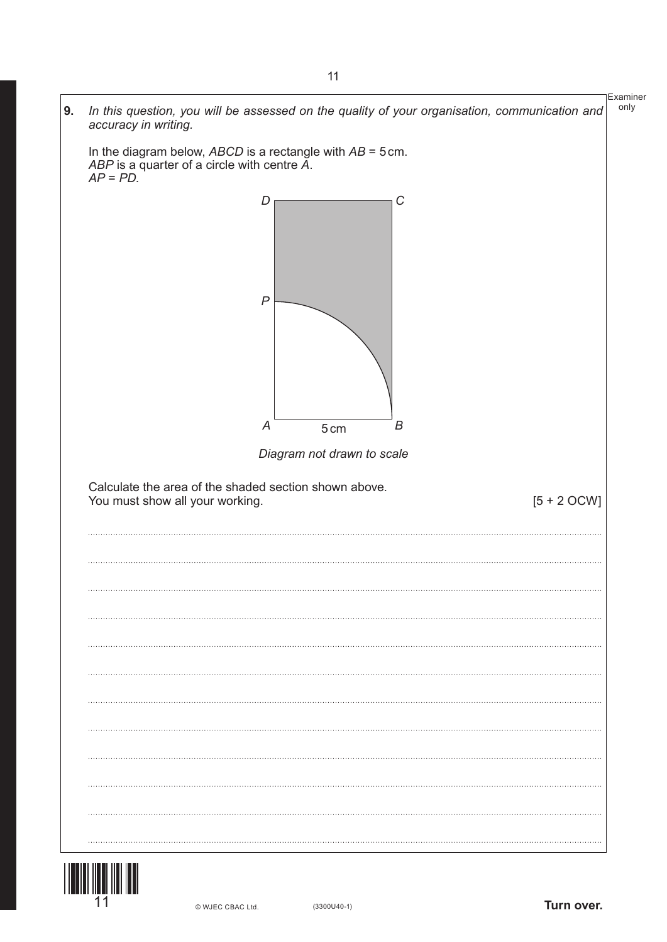

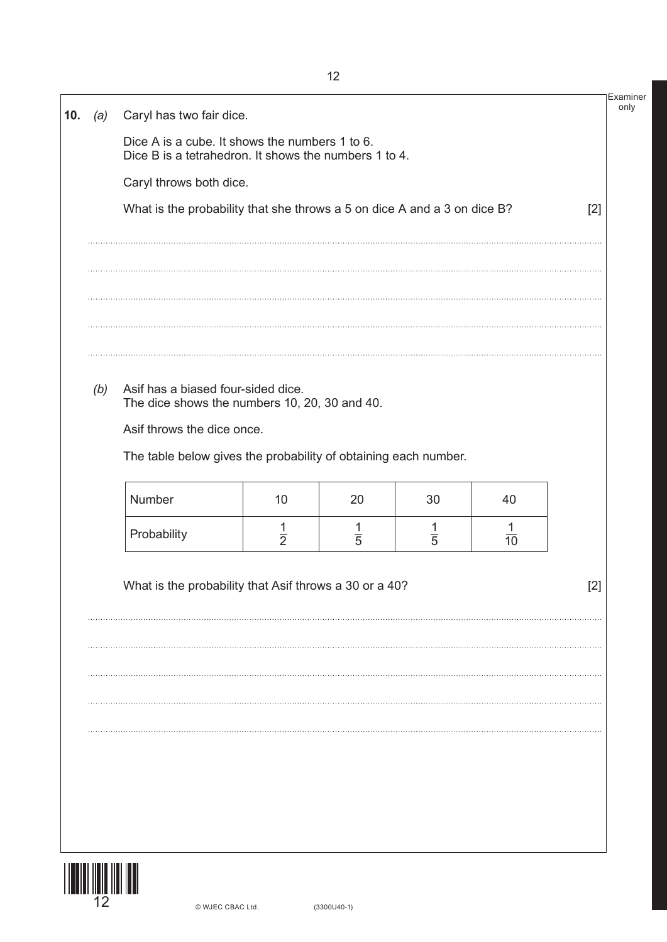|     | Dice A is a cube. It shows the numbers 1 to 6.                                      |               |               |               |                |       |  |
|-----|-------------------------------------------------------------------------------------|---------------|---------------|---------------|----------------|-------|--|
|     | Dice B is a tetrahedron. It shows the numbers 1 to 4.                               |               |               |               |                |       |  |
|     | Caryl throws both dice.                                                             |               |               |               |                |       |  |
|     | What is the probability that she throws a 5 on dice A and a 3 on dice B?            |               |               |               |                | $[2]$ |  |
|     |                                                                                     |               |               |               |                |       |  |
|     |                                                                                     |               |               |               |                |       |  |
|     |                                                                                     |               |               |               |                |       |  |
|     |                                                                                     |               |               |               |                |       |  |
| (b) | Asif has a biased four-sided dice.<br>The dice shows the numbers 10, 20, 30 and 40. |               |               |               |                |       |  |
|     | Asif throws the dice once.                                                          |               |               |               |                |       |  |
|     | The table below gives the probability of obtaining each number.                     |               |               |               |                |       |  |
|     | Number                                                                              | 10            | 20            | 30            | 40             |       |  |
|     | Probability                                                                         | $\frac{1}{2}$ | $\frac{1}{5}$ | $\frac{1}{5}$ | $\frac{1}{10}$ |       |  |
|     | What is the probability that Asif throws a 30 or a 40?                              |               |               |               |                | $[2]$ |  |
|     |                                                                                     |               |               |               |                |       |  |
|     |                                                                                     |               |               |               |                |       |  |
|     |                                                                                     |               |               |               |                |       |  |
|     |                                                                                     |               |               |               |                |       |  |
|     |                                                                                     |               |               |               |                |       |  |
|     |                                                                                     |               |               |               |                |       |  |
|     |                                                                                     |               |               |               |                |       |  |
|     |                                                                                     |               |               |               |                |       |  |

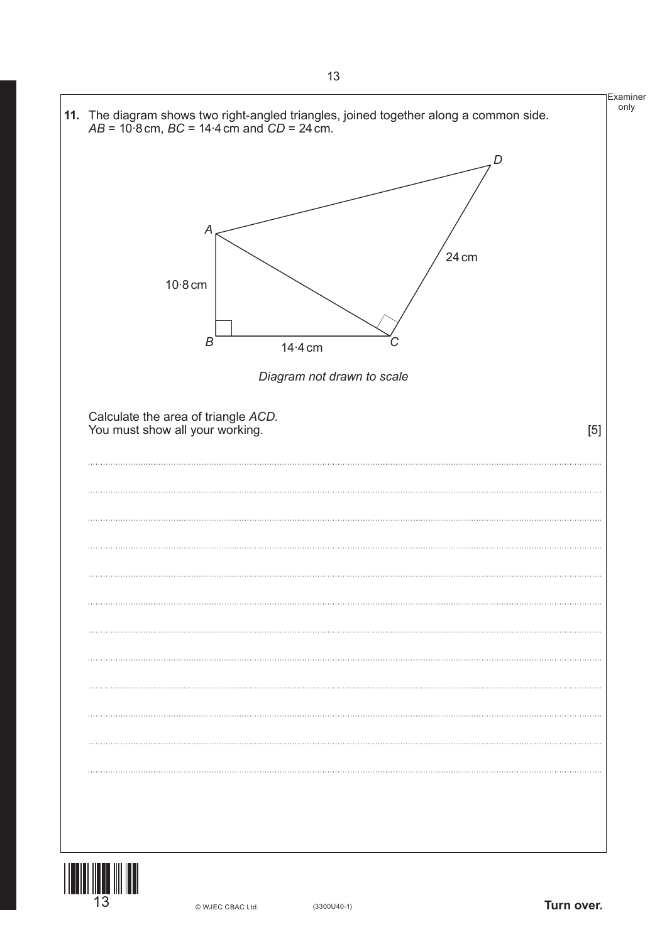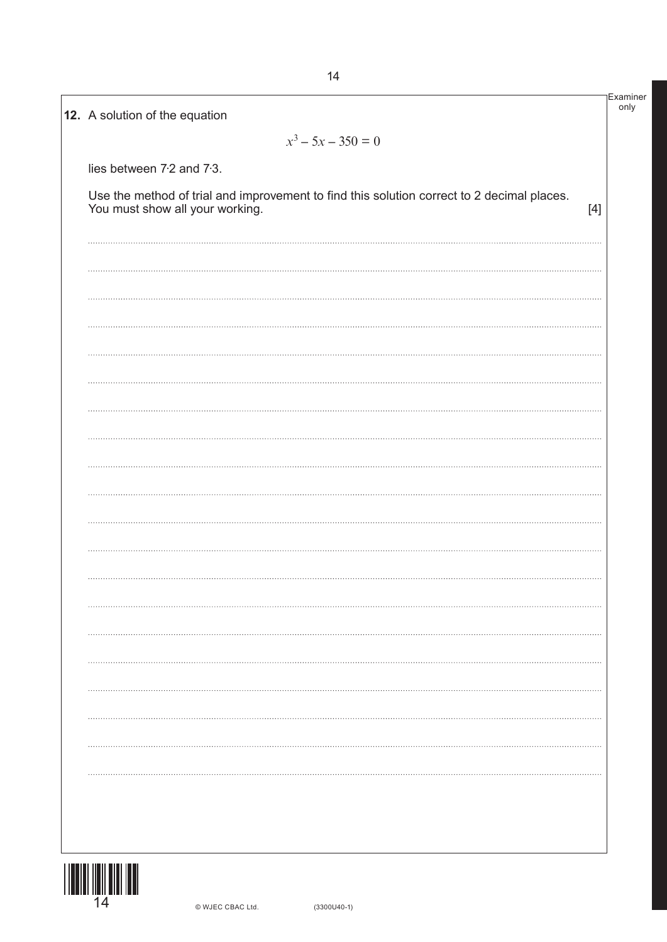|                           | $x^3 - 5x - 350 = 0$                                                                                                          |       |
|---------------------------|-------------------------------------------------------------------------------------------------------------------------------|-------|
| lies between 7.2 and 7.3. |                                                                                                                               |       |
|                           | Use the method of trial and improvement to find this solution correct to 2 decimal places.<br>You must show all your working. | $[4]$ |
|                           |                                                                                                                               |       |
|                           |                                                                                                                               |       |
|                           |                                                                                                                               |       |
|                           |                                                                                                                               |       |
|                           |                                                                                                                               |       |
|                           |                                                                                                                               |       |
|                           |                                                                                                                               |       |
|                           |                                                                                                                               |       |
|                           |                                                                                                                               |       |
|                           |                                                                                                                               |       |
|                           |                                                                                                                               |       |
|                           |                                                                                                                               |       |
|                           |                                                                                                                               |       |
|                           |                                                                                                                               |       |
|                           |                                                                                                                               |       |
|                           |                                                                                                                               |       |
|                           |                                                                                                                               |       |

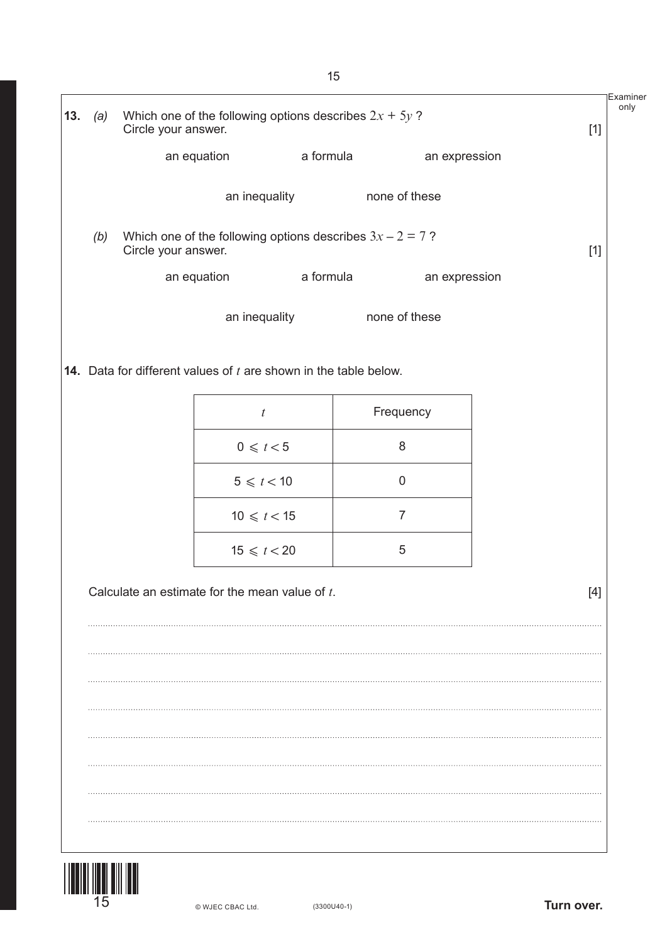|     |     |                                                                                    |               |                  |                | Examiner |
|-----|-----|------------------------------------------------------------------------------------|---------------|------------------|----------------|----------|
| 13. | (a) | Which one of the following options describes $2x + 5y$ ?<br>Circle your answer.    |               |                  |                | $[1]$    |
|     |     |                                                                                    | an equation   | a formula        | an expression  |          |
|     |     |                                                                                    | an inequality |                  | none of these  |          |
|     | (b) | Which one of the following options describes $3x - 2 = 7$ ?<br>Circle your answer. |               |                  |                | $[1]$    |
|     |     |                                                                                    | an equation   | a formula        | an expression  |          |
|     |     |                                                                                    | an inequality |                  | none of these  |          |
|     |     | <b>14.</b> Data for different values of $t$ are shown in the table below.          |               |                  |                |          |
|     |     |                                                                                    |               |                  |                |          |
|     |     |                                                                                    |               | $\boldsymbol{t}$ | Frequency      |          |
|     |     |                                                                                    |               | $0 \leq t < 5$   | 8              |          |
|     |     |                                                                                    |               | $5 \leq t < 10$  | $\mathbf 0$    |          |
|     |     |                                                                                    |               | $10 \le t < 15$  | $\overline{7}$ |          |
|     |     |                                                                                    |               | $15 \leq t < 20$ | 5              |          |
|     |     | Calculate an estimate for the mean value of $t$ .                                  |               |                  |                | $[4]$    |
|     |     |                                                                                    |               |                  |                |          |
|     |     |                                                                                    |               |                  |                |          |
|     |     |                                                                                    |               |                  |                |          |
|     |     |                                                                                    |               |                  |                |          |
|     |     |                                                                                    |               |                  |                |          |
|     |     |                                                                                    |               |                  |                |          |
|     |     |                                                                                    |               |                  |                |          |
|     |     |                                                                                    |               |                  |                |          |

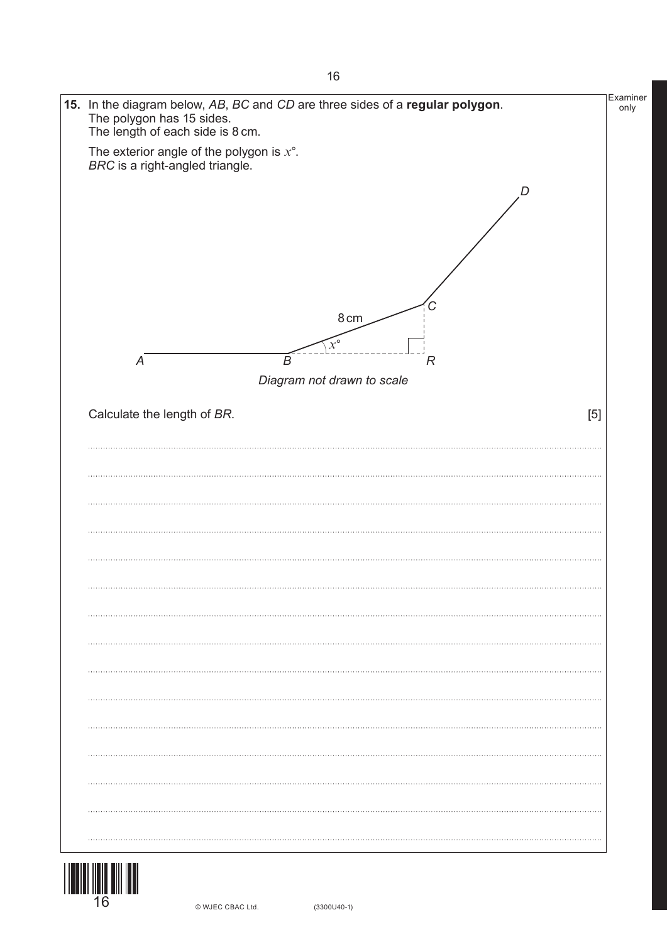

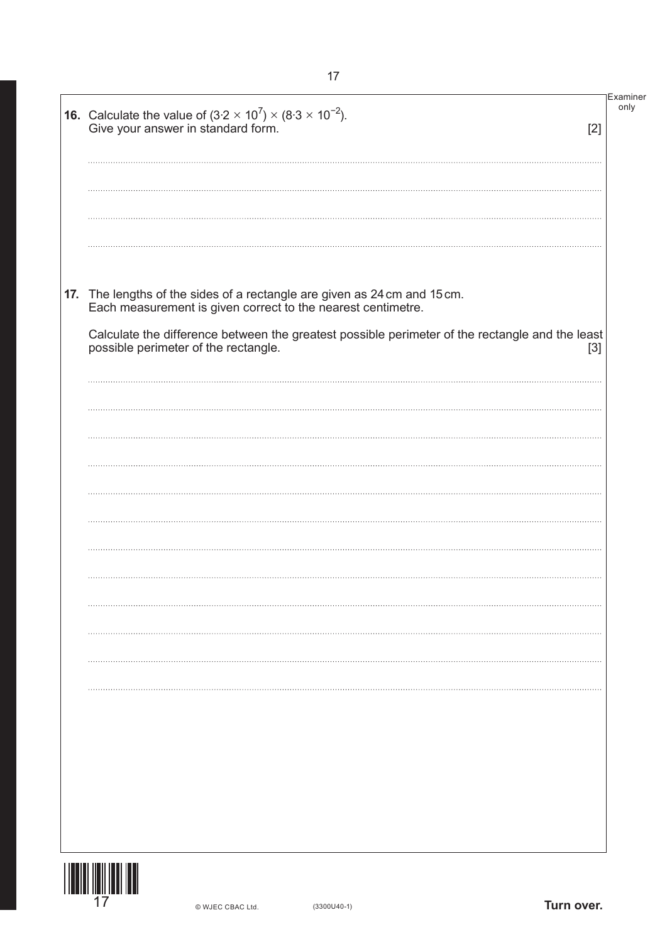| <b>16.</b> Calculate the value of $(3.2 \times 10^7) \times (8.3 \times 10^{-2})$ .<br>Give your answer in standard form.<br>[2]                 | Examiner<br>only |
|--------------------------------------------------------------------------------------------------------------------------------------------------|------------------|
|                                                                                                                                                  |                  |
| 17. The lengths of the sides of a rectangle are given as 24 cm and 15 cm.<br>Each measurement is given correct to the nearest centimetre.        |                  |
| Calculate the difference between the greatest possible perimeter of the rectangle and the least<br>possible perimeter of the rectangle.<br>$[3]$ |                  |
|                                                                                                                                                  |                  |
|                                                                                                                                                  |                  |
|                                                                                                                                                  |                  |
|                                                                                                                                                  |                  |
|                                                                                                                                                  |                  |
|                                                                                                                                                  |                  |
|                                                                                                                                                  |                  |
|                                                                                                                                                  |                  |
|                                                                                                                                                  |                  |
|                                                                                                                                                  |                  |
|                                                                                                                                                  |                  |
|                                                                                                                                                  |                  |
|                                                                                                                                                  |                  |

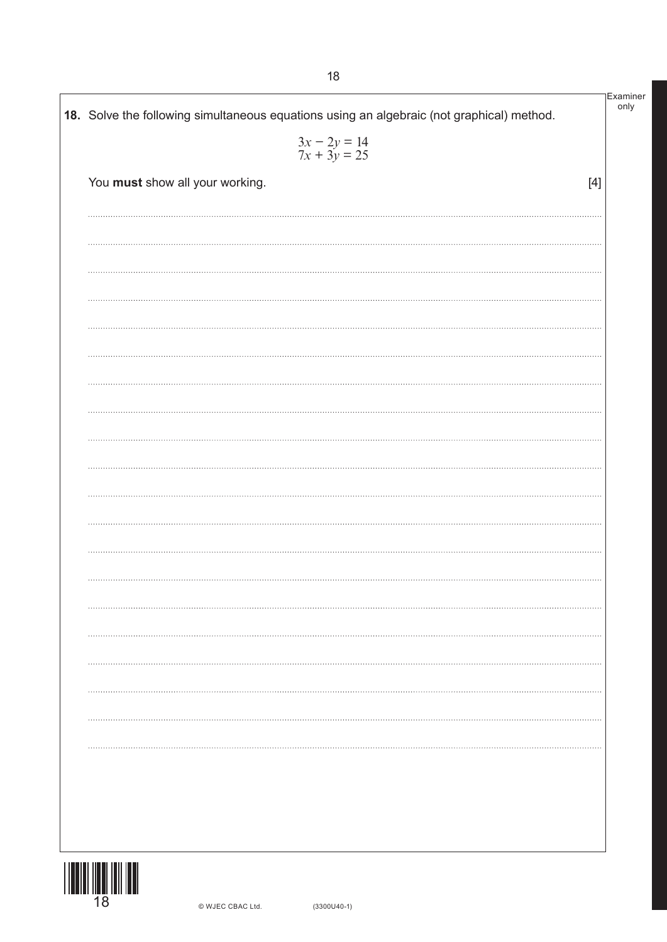| You must show all your working.<br> | $3x - 2y = 14$<br>$7x + 3y = 25$ |  |
|-------------------------------------|----------------------------------|--|
|                                     | $[4]$                            |  |
|                                     |                                  |  |
|                                     |                                  |  |
|                                     |                                  |  |
|                                     |                                  |  |
|                                     |                                  |  |
|                                     |                                  |  |
|                                     |                                  |  |
|                                     |                                  |  |
|                                     |                                  |  |
|                                     |                                  |  |
|                                     |                                  |  |
|                                     |                                  |  |
|                                     |                                  |  |
|                                     |                                  |  |
|                                     |                                  |  |
|                                     |                                  |  |
|                                     |                                  |  |
|                                     |                                  |  |
|                                     |                                  |  |
|                                     |                                  |  |
|                                     |                                  |  |

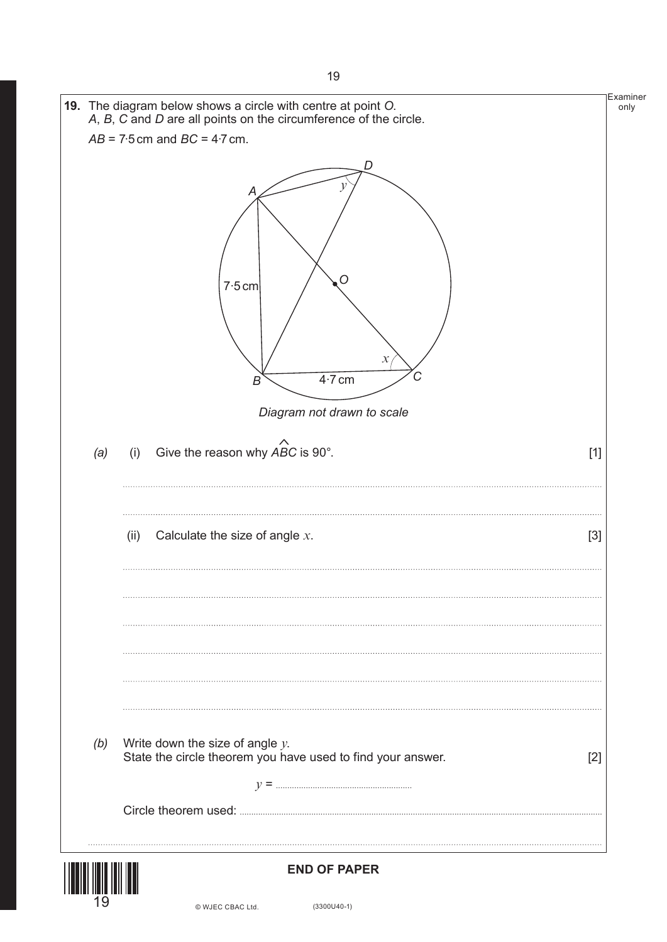|                                                                                                            | <b>Examiner</b><br>only                                                                                                                                                            |
|------------------------------------------------------------------------------------------------------------|------------------------------------------------------------------------------------------------------------------------------------------------------------------------------------|
|                                                                                                            |                                                                                                                                                                                    |
| D<br>ν<br>Α<br>Ő<br>7.5 cm<br>$\chi$<br>਼<br>$4.7$ cm<br>B<br>Diagram not drawn to scale                   |                                                                                                                                                                                    |
| Give the reason why $\overrightarrow{ABC}$ is 90°.<br>(i)<br>$[1]$                                         |                                                                                                                                                                                    |
| Calculate the size of angle $x$ .<br>(ii)<br>$[3]$                                                         |                                                                                                                                                                                    |
| Write down the size of angle $y$ .<br>State the circle theorem you have used to find your answer.<br>$[2]$ |                                                                                                                                                                                    |
|                                                                                                            | 19. The diagram below shows a circle with centre at point O.<br>A, B, C and D are all points on the circumference of the circle.<br>$AB = 7.5$ cm and $BC = 4.7$ cm.<br>(a)<br>(b) |



## **END OF PAPER**